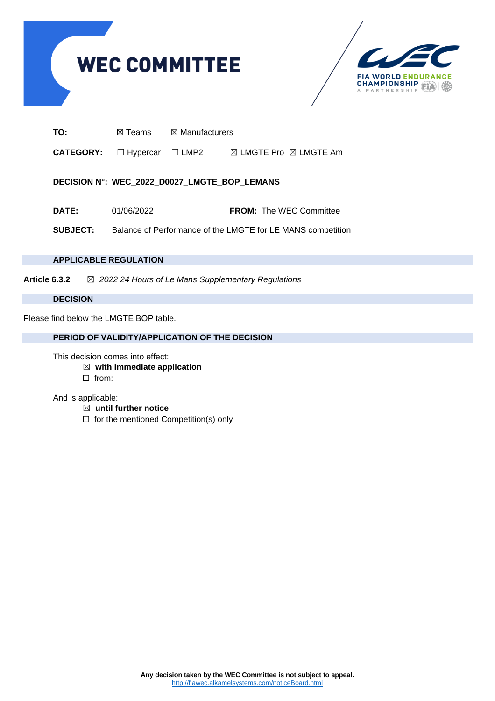



| TO:                                          | <b>⊠ Manufacturers</b><br>⊠ Teams                           |             |                                            |  |  |  |  |  |  |  |
|----------------------------------------------|-------------------------------------------------------------|-------------|--------------------------------------------|--|--|--|--|--|--|--|
| <b>CATEGORY:</b>                             | $\Box$ Hypercar                                             | $\Box$ LMP2 | $\boxtimes$ LMGTE Pro $\boxtimes$ LMGTE Am |  |  |  |  |  |  |  |
| DECISION N°: WEC_2022_D0027_LMGTE_BOP_LEMANS |                                                             |             |                                            |  |  |  |  |  |  |  |
| DATE:                                        | 01/06/2022                                                  |             | <b>FROM:</b> The WEC Committee             |  |  |  |  |  |  |  |
| <b>SUBJECT:</b>                              | Balance of Performance of the LMGTE for LE MANS competition |             |                                            |  |  |  |  |  |  |  |

# **APPLICABLE REGULATION**

**Article 6.3.2** ☒ *2022 24 Hours of Le Mans Supplementary Regulations*

#### **DECISION**

Please find below the LMGTE BOP table.

## **PERIOD OF VALIDITY/APPLICATION OF THE DECISION**

This decision comes into effect:

- ☒ **with immediate application**
- ☐ from:

And is applicable:

- ☒ **until further notice**
- ☐ for the mentioned Competition(s) only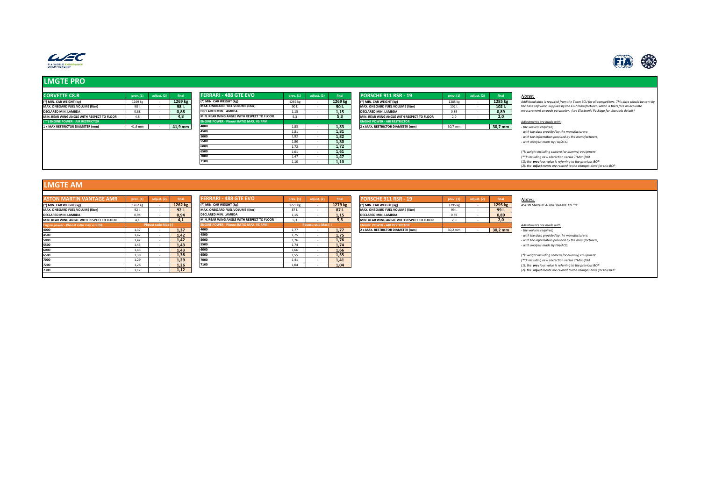



## **LMGTE PRO**

| <b>CORVETTE C8.R</b>                       | prev. (1) | adiust. (2) | final   | <b>FERRARI - 488 GTE EVO</b>                   | prev. (1) | adjust. (2) | final   | <b>PORSCHE 911 RSR - 19</b>                | prev. (1)        | adjust. (2) | final   | Notes:                                                             |
|--------------------------------------------|-----------|-------------|---------|------------------------------------------------|-----------|-------------|---------|--------------------------------------------|------------------|-------------|---------|--------------------------------------------------------------------|
| (*) MIN. CAR WEIGHT (kg)                   | 1269 kg   |             | 1269 kg | (*) MIN. CAR WEIGHT (kg)                       | 1269 kg   |             | 1269 kg | (*) MIN. CAR WEIGHT (kg)                   | 1285 kg          |             | 1285 kg | Additional data is required from the Team ECU for all competitors. |
| <b>MAX. ONBOARD FUEL VOLUME (liter)</b>    | 981.      |             | 98 I.   | MAX. ONBOARD FUEL VOLUME (liter)               | 901.      |             | 90 I.   | MAX. ONBOARD FUEL VOLUME (liter)           | 102 <sub>1</sub> |             | 102 I.  | the base software, supplied by the ECU manufacturer, which is the  |
| DECLARED MIN. LAMBDA                       | 0.88      |             | 0,88    | DECLARED MIN. LAMBDA                           | 1.15      |             | 1,15    | DECLARED MIN. LAMBDA                       | 0.89             |             | 0.89    | measurement on each parameter. (see Electronic Package for che     |
| MIN. REAR WING ANGLE WITH RESPECT TO FLOOR | 4.8       |             | 4.8     | MIN. REAR WING ANGLE WITH RESPECT TO FLOOR     | 5.3       |             | 5.3     | MIN. REAR WING ANGLE WITH RESPECT TO FLOOR | 2.0              |             | 2.0     |                                                                    |
| (**) ENGINE POWER - AIR RESTRICTOR         |           |             |         | <b>ENGINE POWER - Pboost RATIO MAX. VS RPM</b> |           |             |         | <b>ENGINE POWER - AIR RESTRICTOR</b>       |                  |             |         | Adjustments are made with:                                         |
| 1 x MAX RESTRICTOR DIAMETER (mm)           | 41,9 mm   |             | 41,9 mm | 4000                                           | 1.83      |             | 1,83    | 2 x MAX. RESTRICTOR DIAMETER (mm)          | 30,7 mm          |             | 30,7 mm | - the waivers required;                                            |
|                                            |           |             |         | 4500                                           | 1,81      |             | 1,81    |                                            |                  |             |         | - with the data provided by the manufacturers;                     |
|                                            |           |             |         | 5000                                           | 1.82      |             | 1,82    |                                            |                  |             |         | - with the information provided by the manufacturers;              |
|                                            |           |             |         | 5500                                           | 1,80      |             | 1,80    |                                            |                  |             |         | - with analysis made by FIA/ACO.                                   |
|                                            |           |             |         | 6000                                           | 1.72      |             | 1,72    |                                            |                  |             |         |                                                                    |
|                                            |           |             |         | 6500                                           | 1.61      |             | 1,61    |                                            |                  |             |         | (*): weight including camera (or dummy) equipment                  |
|                                            |           |             |         | 7000                                           | 1.47      |             | 1.47    |                                            |                  |             |         | (**): including new correction versus T°Manifold                   |
|                                            |           |             |         | 7100                                           | 1,10      |             | 1,10    |                                            |                  |             |         | (1): the previous value is referring to the previous BOP           |
|                                            |           |             |         |                                                |           |             |         |                                            |                  |             |         | (2): the adjust ments are related to the changes done for this BOF |

| <b>PORSCHE 911 RSR - 19</b>                | prev. (1) | adjust. (2) | final   |
|--------------------------------------------|-----------|-------------|---------|
| <sup>*</sup> ) MIN. CAR WEIGHT (kg)        | 1285 kg   | ٠           | 1285 kg |
| MAX. ONBOARD FUEL VOLUME (liter)           | 1021.     | ٠           | 102 I.  |
| DECLARED MIN. LAMBDA                       | 0.89      | ٠           | 0.89    |
| MIN. REAR WING ANGLE WITH RESPECT TO FLOOR | 2.0       | ٠           | 2.0     |
| <b>ENGINE POWER - AIR RESTRICTOR</b>       |           |             |         |
| 2 x MAX, RESTRICTOR DIAMETER (mm)          | 30.7 mm   |             | 30.7 mm |

Additional data is required from the Team ECU for all competitors. This data should be sent by<br>the base software, supplied by the ECU manufacturer, which is therefore an accurate<br>measurement on each parameter. (see Electro

### **LMGTE AM**

| <b>ASTON MARTIN VANTAGE AMR</b>            | prev. (1) | adjust. (2)          | final   | <b>FERRARI - 488 GTE EVO</b>                   | prev. (1) | adjust. (2)          | final   | <b>PORSCHE 911 RSR - 19</b>                | prev. (1) | adjust. (2) | final               | Notes:                                                             |
|--------------------------------------------|-----------|----------------------|---------|------------------------------------------------|-----------|----------------------|---------|--------------------------------------------|-----------|-------------|---------------------|--------------------------------------------------------------------|
| (*) MIN. CAR WEIGHT (kg)                   | 1262 kg   |                      | 1262 kg | (*) MIN. CAR WEIGHT (kg)                       | 1279 kg   |                      | 1279 kg | (*) MIN. CAR WEIGHT (kg)                   | 1295 kg   |             | 1295 kg             | ASTON MARTIN: AERODYNAMIC KIT "B"                                  |
| MAX. ONBOARD FUEL VOLUME (liter)           | 921       |                      | 921.    | MAX. ONBOARD FUEL VOLUME (liter)               | 871.      |                      | 871.    | MAX. ONBOARD FUEL VOLUME (liter)           | 99 I.     |             | 991.                |                                                                    |
| DECLARED MIN. LAMBDA                       | 0.94      |                      | 0,94    | DECLARED MIN. LAMBDA                           | 1.15      |                      | 1.15    | DECLARED MIN. LAMBDA                       | 0.89      |             | 0.89                |                                                                    |
| MIN, REAR WING ANGLE WITH RESPECT TO FLOOR | 4.1       |                      | 4.1     | MIN. REAR WING ANGLE WITH RESPECT TO FLOOR     | 5.3       |                      | 5.3     | MIN. REAR WING ANGLE WITH RESPECT TO FLOOR | 2.0       |             | 2.0                 |                                                                    |
| Engine power - Pboost ratio max vs RPM     |           | Pboost ratio Max (-) |         | <b>ENGINE POWER - Pboost RATIO MAX. VS RPM</b> |           | Phoost ratio Max (-) |         | <b>ENGINE POWER - AIR RESTRICTOR</b>       |           |             |                     | Adjustments are made with:                                         |
| 4000                                       | 1.37      |                      | 1,37    | 4000                                           | 1.77      |                      | 1,77    | 2 x MAX. RESTRICTOR DIAMETER (mm)          | 30.2 mm   |             | $30,2 \, \text{mm}$ | the waivers required;                                              |
| 4500                                       | 1.42      |                      | 1,42    | 4500                                           | 1.75      |                      | 1,75    |                                            |           |             |                     | - with the data provided by the manufacturers;                     |
| 5000                                       | 1.42      |                      | 1,42    | 5000                                           | 1.76      |                      | 1.76    |                                            |           |             |                     | - with the information provided by the manufacturers;              |
| 5500                                       | 1.43      |                      | 1,43    | 5500                                           | 1.74      |                      | 1,74    |                                            |           |             |                     | - with analysis made by FIA/ACO.                                   |
| 6000                                       | 1.43      |                      | 1,43    | 6000                                           | 1,66      |                      | 1,66    |                                            |           |             |                     |                                                                    |
| 6500                                       | 1.38      |                      | 1,38    | 6500                                           | 1.55      |                      | 1,55    |                                            |           |             |                     | (*): weight including camera (or dummy) equipment                  |
| 7000                                       | 1.29      |                      | 1,29    | 7000                                           | 1.41      |                      | 1,41    |                                            |           |             |                     | (**): including new correction versus T°Manifold                   |
| 7200                                       |           |                      | 1,26    | 7100                                           | 1,04      |                      | 1,04    |                                            |           |             |                     | (1): the previous value is referring to the previous BOP           |
| 7300                                       | 1.12      |                      | 1,12    |                                                |           |                      |         |                                            |           |             |                     | (2): the adjust ments are related to the changes done for this BOP |